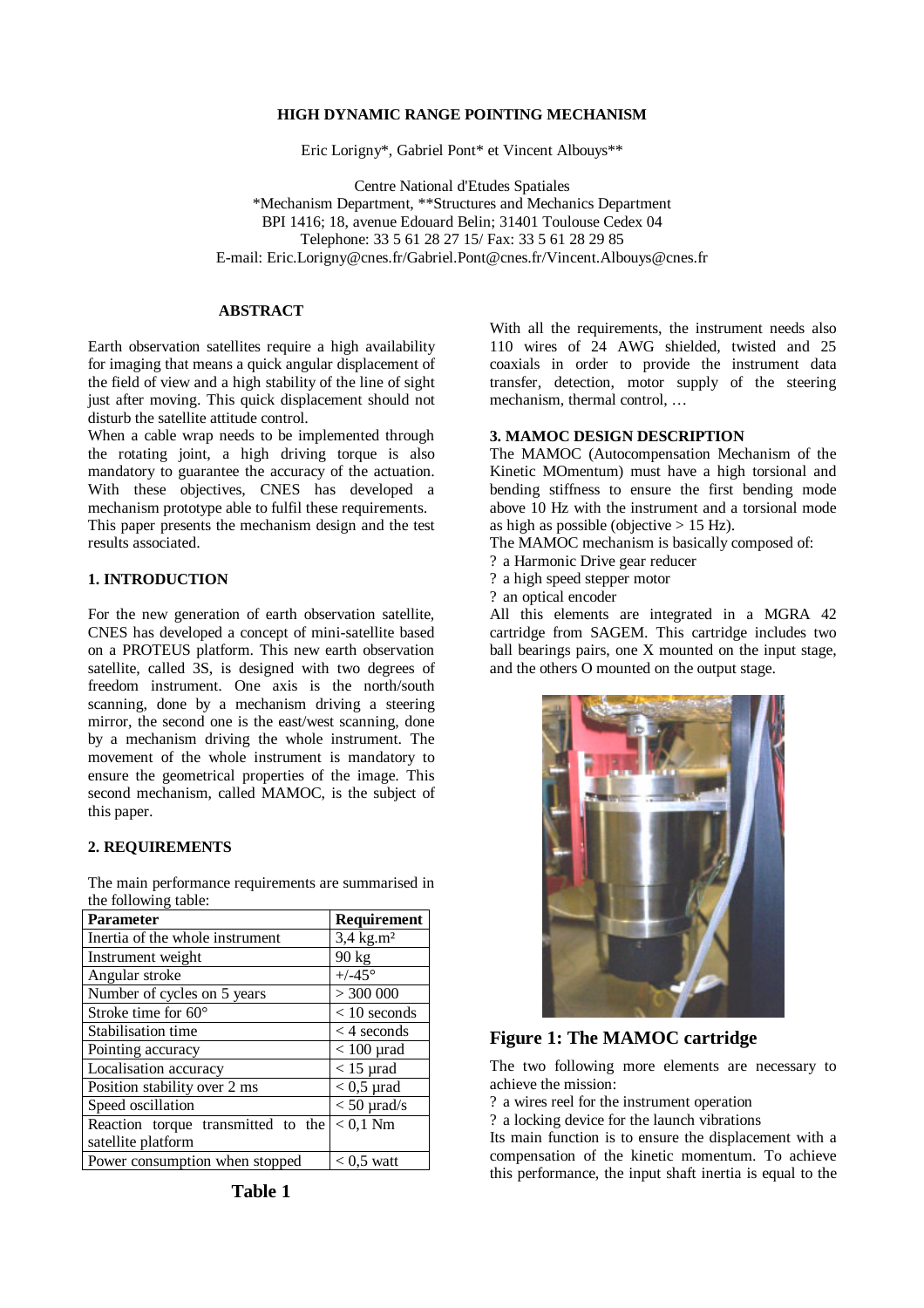## **HIGH DYNAMIC RANGE POINTING MECHANISM**

Eric Lorigny\*, Gabriel Pont\* et Vincent Albouys\*\*

Centre National d'Etudes Spatiales \*Mechanism Department, \*\*Structures and Mechanics Department BPI 1416; 18, avenue Edouard Belin; 31401 Toulouse Cedex 04 Telephone: 33 5 61 28 27 15/ Fax: 33 5 61 28 29 85 E-mail: Eric.Lorigny@cnes.fr/Gabriel.Pont@cnes.fr/Vincent.Albouys@cnes.fr

# **ABSTRACT**

Earth observation satellites require a high availability for imaging that means a quick angular displacement of the field of view and a high stability of the line of sight just after moving. This quick displacement should not disturb the satellite attitude control.

When a cable wrap needs to be implemented through the rotating joint, a high driving torque is also mandatory to guarantee the accuracy of the actuation. With these objectives, CNES has developed a mechanism prototype able to fulfil these requirements. This paper presents the mechanism design and the test results associated.

#### **1. INTRODUCTION**

For the new generation of earth observation satellite, CNES has developed a concept of mini-satellite based on a PROTEUS platform. This new earth observation satellite, called 3S, is designed with two degrees of freedom instrument. One axis is the north/south scanning, done by a mechanism driving a steering mirror, the second one is the east/west scanning, done by a mechanism driving the whole instrument. The movement of the whole instrument is mandatory to ensure the geometrical properties of the image. This second mechanism, called MAMOC, is the subject of this paper.

### **2. REQUIREMENTS**

The main performance requirements are summarised in the following table:

| <b>Parameter</b>                   | Requirement           |
|------------------------------------|-----------------------|
| Inertia of the whole instrument    | 3,4 kg.m <sup>2</sup> |
| Instrument weight                  | $90 \text{ kg}$       |
| Angular stroke                     | $+/-45^{\circ}$       |
| Number of cycles on 5 years        | > 300000              |
| Stroke time for 60°                | $< 10$ seconds        |
| Stabilisation time                 | $<$ 4 seconds         |
| Pointing accuracy                  | $< 100$ µrad          |
| Localisation accuracy              | $<$ 15 µrad           |
| Position stability over 2 ms       | $< 0.5$ µrad          |
| Speed oscillation                  | $<$ 50 $\mu$ rad/s    |
| Reaction torque transmitted to the | $< 0.1$ Nm            |
| satellite platform                 |                       |
| Power consumption when stopped     | $< 0.5$ watt          |

With all the requirements, the instrument needs also 110 wires of 24 AWG shielded, twisted and 25 coaxials in order to provide the instrument data transfer, detection, motor supply of the steering mechanism, thermal control, …

#### **3. MAMOC DESIGN DESCRIPTION**

The MAMOC (Autocompensation Mechanism of the Kinetic MOmentum) must have a high torsional and bending stiffness to ensure the first bending mode above 10 Hz with the instrument and a torsional mode as high as possible (objective  $> 15$  Hz).

- The MAMOC mechanism is basically composed of:
- ? a Harmonic Drive gear reducer
- ? a high speed stepper motor
- ? an optical encoder

All this elements are integrated in a MGRA 42 cartridge from SAGEM. This cartridge includes two ball bearings pairs, one X mounted on the input stage, and the others O mounted on the output stage.



# **Figure 1: The MAMOC cartridge**

The two following more elements are necessary to achieve the mission:

? a wires reel for the instrument operation

? a locking device for the launch vibrations

Its main function is to ensure the displacement with a compensation of the kinetic momentum. To achieve this performance, the input shaft inertia is equal to the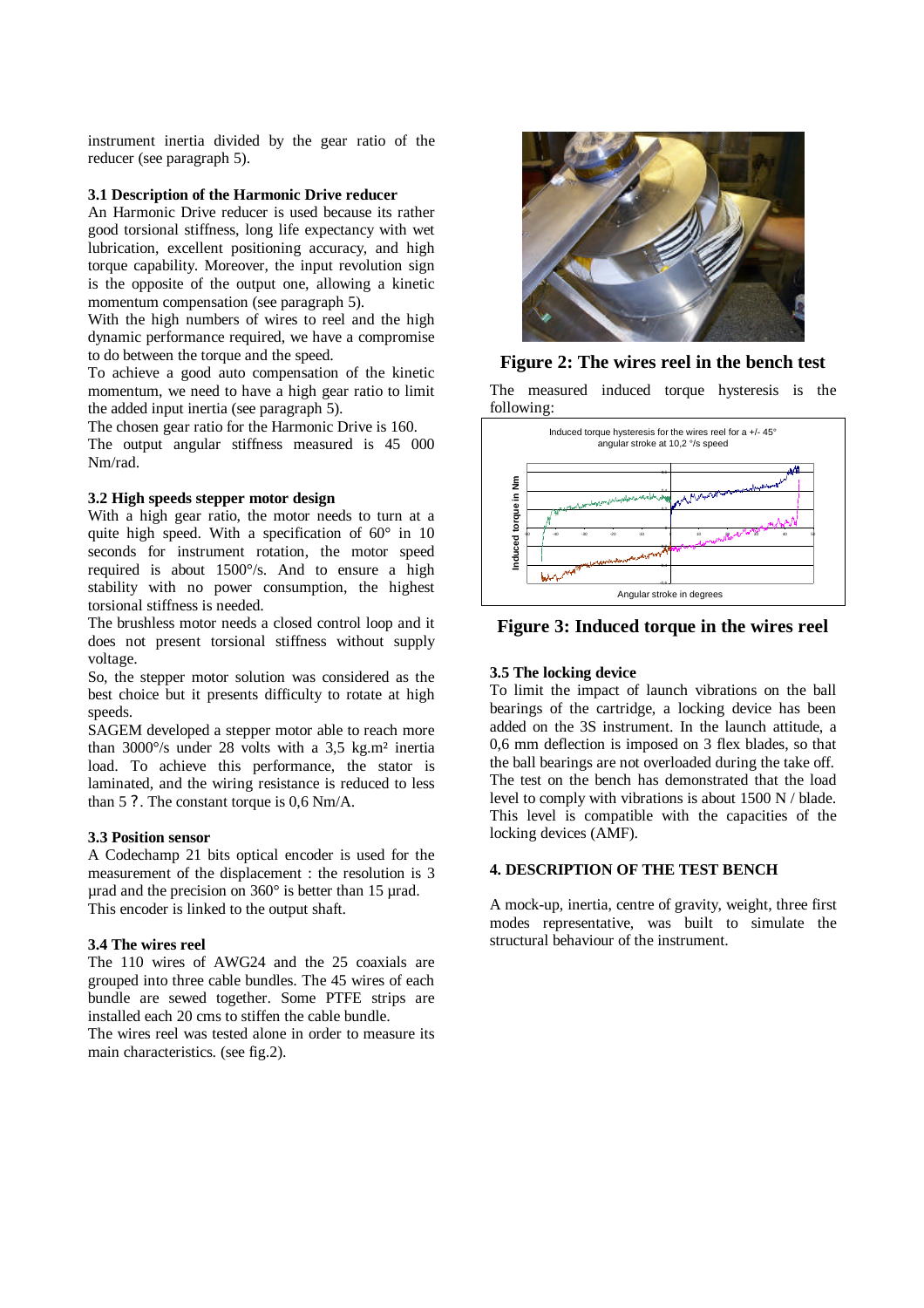instrument inertia divided by the gear ratio of the reducer (see paragraph 5).

## **3.1 Description of the Harmonic Drive reducer**

An Harmonic Drive reducer is used because its rather good torsional stiffness, long life expectancy with wet lubrication, excellent positioning accuracy, and high torque capability. Moreover, the input revolution sign is the opposite of the output one, allowing a kinetic momentum compensation (see paragraph 5).

With the high numbers of wires to reel and the high dynamic performance required, we have a compromise to do between the torque and the speed.

To achieve a good auto compensation of the kinetic momentum, we need to have a high gear ratio to limit the added input inertia (see paragraph 5).

The chosen gear ratio for the Harmonic Drive is 160.

The output angular stiffness measured is 45 000 Nm/rad.

#### **3.2 High speeds stepper motor design**

With a high gear ratio, the motor needs to turn at a quite high speed. With a specification of 60° in 10 seconds for instrument rotation, the motor speed required is about 1500°/s. And to ensure a high stability with no power consumption, the highest torsional stiffness is needed.

The brushless motor needs a closed control loop and it does not present torsional stiffness without supply voltage.

So, the stepper motor solution was considered as the best choice but it presents difficulty to rotate at high speeds.

SAGEM developed a stepper motor able to reach more than 3000°/s under 28 volts with a 3,5 kg.m² inertia load. To achieve this performance, the stator is laminated, and the wiring resistance is reduced to less than 5 ?. The constant torque is 0,6 Nm/A.

#### **3.3 Position sensor**

A Codechamp 21 bits optical encoder is used for the measurement of the displacement : the resolution is 3 µrad and the precision on 360° is better than 15 µrad. This encoder is linked to the output shaft.

## **3.4 The wires reel**

The 110 wires of AWG24 and the 25 coaxials are grouped into three cable bundles. The 45 wires of each bundle are sewed together. Some PTFE strips are installed each 20 cms to stiffen the cable bundle.

The wires reel was tested alone in order to measure its main characteristics. (see fig.2).



# **Figure 2: The wires reel in the bench test**

The measured induced torque hysteresis is the following:



**Figure 3: Induced torque in the wires reel**

## **3.5 The locking device**

To limit the impact of launch vibrations on the ball bearings of the cartridge, a locking device has been added on the 3S instrument. In the launch attitude, a 0,6 mm deflection is imposed on 3 flex blades, so that the ball bearings are not overloaded during the take off. The test on the bench has demonstrated that the load level to comply with vibrations is about 1500 N / blade. This level is compatible with the capacities of the locking devices (AMF).

# **4. DESCRIPTION OF THE TEST BENCH**

A mock-up, inertia, centre of gravity, weight, three first modes representative, was built to simulate the structural behaviour of the instrument.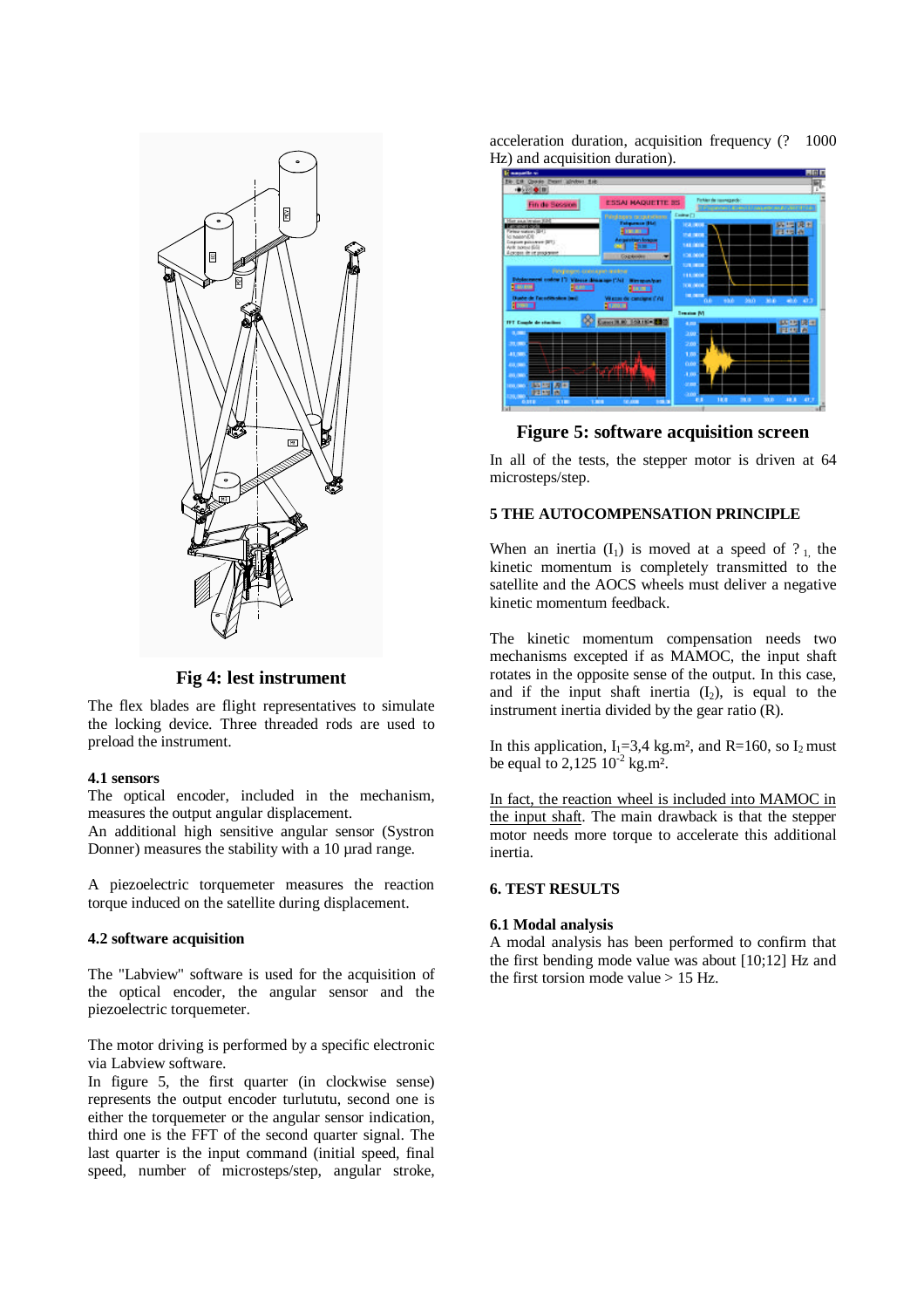

**Fig 4: lest instrument**

The flex blades are flight representatives to simulate the locking device. Three threaded rods are used to preload the instrument.

#### **4.1 sensors**

The optical encoder, included in the mechanism, measures the output angular displacement.

An additional high sensitive angular sensor (Systron Donner) measures the stability with a 10 µrad range.

A piezoelectric torquemeter measures the reaction torque induced on the satellite during displacement.

#### **4.2 software acquisition**

The "Labview" software is used for the acquisition of the optical encoder, the angular sensor and the piezoelectric torquemeter.

The motor driving is performed by a specific electronic via Labview software.

In figure 5, the first quarter (in clockwise sense) represents the output encoder turlututu, second one is either the torquemeter or the angular sensor indication, third one is the FFT of the second quarter signal. The last quarter is the input command (initial speed, final speed, number of microsteps/step, angular stroke,

acceleration duration, acquisition frequency (? 1000 Hz) and acquisition duration).

| <b><i>Committee</i></b>                                                                                                                                                |                                                                                                                                                                                                                                 | F1        |
|------------------------------------------------------------------------------------------------------------------------------------------------------------------------|---------------------------------------------------------------------------------------------------------------------------------------------------------------------------------------------------------------------------------|-----------|
| Ele Erik Chorske Present advokus Esik-<br>中国专用                                                                                                                         |                                                                                                                                                                                                                                 |           |
| Fin de Bession                                                                                                                                                         | Finkler de convegando<br><b>ESSAI MAQUETTE BS</b><br>Termination Cancellat seemed and any                                                                                                                                       |           |
| Har saa brain 626<br><b>Lating text code</b><br>Finley subury (211)<br>Ici najaryZili<br><b>Couples publication (SFT)</b><br>Ard: horse field<br>Across drive programs | <b>Colour (1)</b><br><b>Réséasse googeniveers</b><br><b>Telepowea (Hel)</b><br><b>IVA NOW</b><br><b>STATISTICS</b><br>115 24<br>н<br><b>STARTED</b><br>Angelstien konge<br><b>SAR DEDIC</b><br>100,0000<br><b>Courtesy</b><br>٠ |           |
| Ресурдин, коллеристички<br><b>Coloradore instrucción</b><br>who do Tacadithodox bad.<br><b>COM</b>                                                                     | 129,000<br>111,000<br>Vitrose démanage ("Ac)<br><b>Winnipolysis</b><br><b>TOR OTOR</b><br><b>THE CHECK</b><br>Vitazioni dei consignatif Vol-<br>×.<br>49.6<br>9kn<br>m<br><b>FORDS</b>                                          | 40.0 47.7 |
| <b>TFT Couple de staclant</b><br><b>DOM:</b>                                                                                                                           | <b>System WI</b><br><b>Louis Links Co.</b><br>4.00<br><b>PECH AL</b><br>3.00                                                                                                                                                    | 医四周形      |
| 31,000<br><b>AS 7001</b><br><b>ALL 7800</b><br>an own<br>新田原<br><b>COLOMBIA</b>                                                                                        | 2.00<br>1.00<br>0.00<br>3,000<br>or man                                                                                                                                                                                         |           |
| お出席<br>15,000<br>0.111<br>3.131                                                                                                                                        | $-0.00$<br>m<br><b>ART R</b><br>38.8<br>28.3<br>1,808<br>12,233<br>÷                                                                                                                                                            | m         |

## **Figure 5: software acquisition screen**

In all of the tests, the stepper motor is driven at 64 microsteps/step.

### **5 THE AUTOCOMPENSATION PRINCIPLE**

When an inertia  $(I_1)$  is moved at a speed of ? 1, the kinetic momentum is completely transmitted to the satellite and the AOCS wheels must deliver a negative kinetic momentum feedback.

The kinetic momentum compensation needs two mechanisms excepted if as MAMOC, the input shaft rotates in the opposite sense of the output. In this case, and if the input shaft inertia  $(I_2)$ , is equal to the instrument inertia divided by the gear ratio (R).

In this application,  $I_1 = 3,4$  kg.m<sup>2</sup>, and R=160, so  $I_2$  must be equal to 2,125  $10^{-2}$  kg.m<sup>2</sup>.

In fact, the reaction wheel is included into MAMOC in the input shaft. The main drawback is that the stepper motor needs more torque to accelerate this additional inertia.

#### **6. TEST RESULTS**

### **6.1 Modal analysis**

A modal analysis has been performed to confirm that the first bending mode value was about [10;12] Hz and the first torsion mode value  $> 15$  Hz.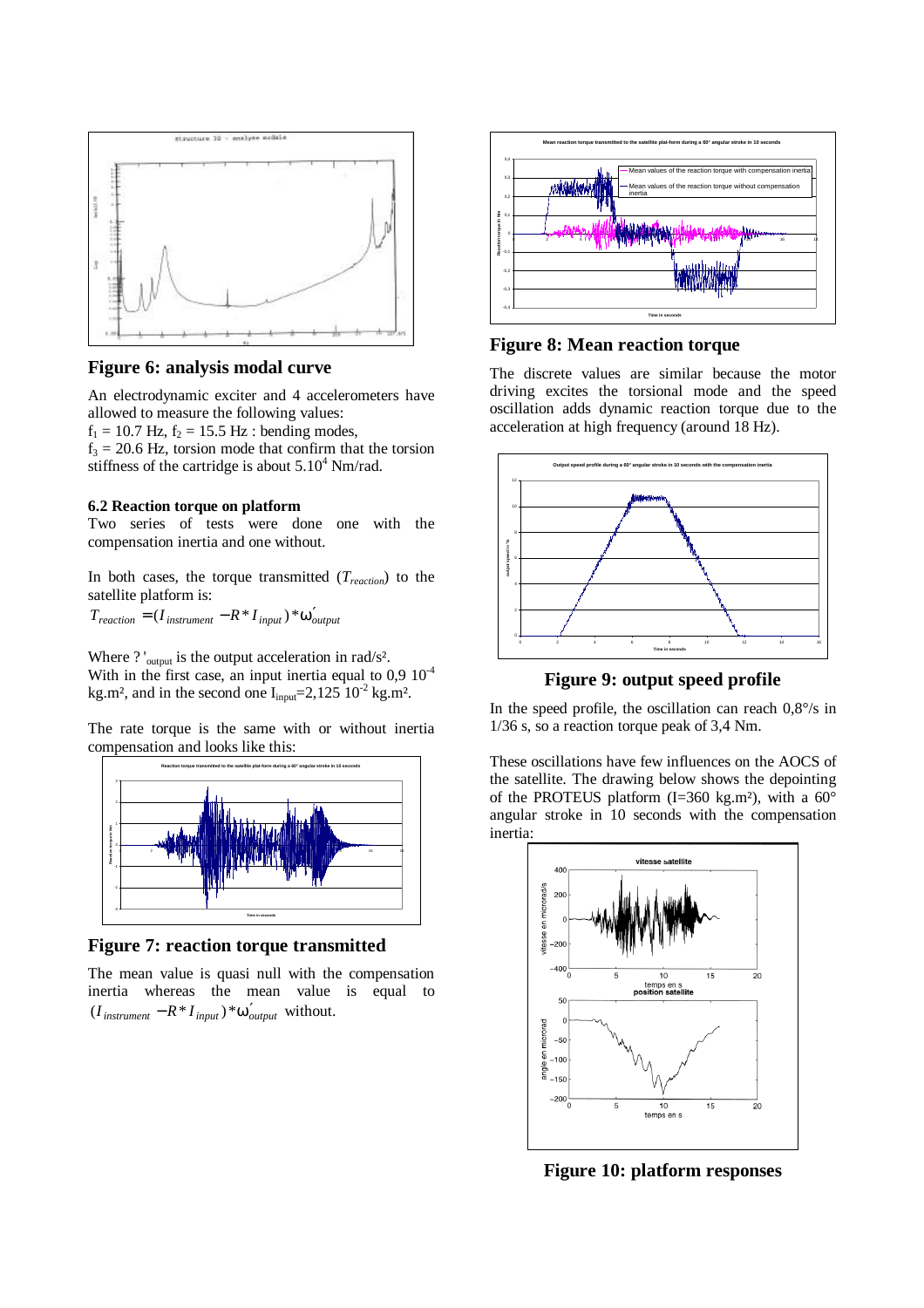

# **Figure 6: analysis modal curve**

An electrodynamic exciter and 4 accelerometers have allowed to measure the following values:

 $f_1 = 10.7$  Hz,  $f_2 = 15.5$  Hz : bending modes,

 $f_3 = 20.6$  Hz, torsion mode that confirm that the torsion stiffness of the cartridge is about  $5.10^4$  Nm/rad.

## **6.2 Reaction torque on platform**

Two series of tests were done one with the compensation inertia and one without.

In both cases, the torque transmitted (*Treaction*) to the satellite platform is:

 $T_{reaction} = (I_{instrument} - R * I_{input}) * w'_{output}$ 

Where ? '<sub>output</sub> is the output acceleration in rad/s<sup>2</sup>. With in the first case, an input inertia equal to  $0.9 10^{-4}$ kg.m<sup>2</sup>, and in the second one  $I_{input} = 2,125 \times 10^{-2} \text{ kg.m}^2$ .

The rate torque is the same with or without inertia compensation and looks like this:



**Figure 7: reaction torque transmitted**

The mean value is quasi null with the compensation inertia whereas the mean value is equal to  $(I_{instrument} - R * I_{input}) * w'_{output}$  without.



## **Figure 8: Mean reaction torque**

The discrete values are similar because the motor driving excites the torsional mode and the speed oscillation adds dynamic reaction torque due to the acceleration at high frequency (around 18 Hz).



**Figure 9: output speed profile**

In the speed profile, the oscillation can reach  $0.8\%$  in 1/36 s, so a reaction torque peak of 3,4 Nm.

These oscillations have few influences on the AOCS of the satellite. The drawing below shows the depointing of the PROTEUS platform  $(I=360 \text{ kg.m}^2)$ , with a  $60^\circ$ angular stroke in 10 seconds with the compensation inertia:



**Figure 10: platform responses**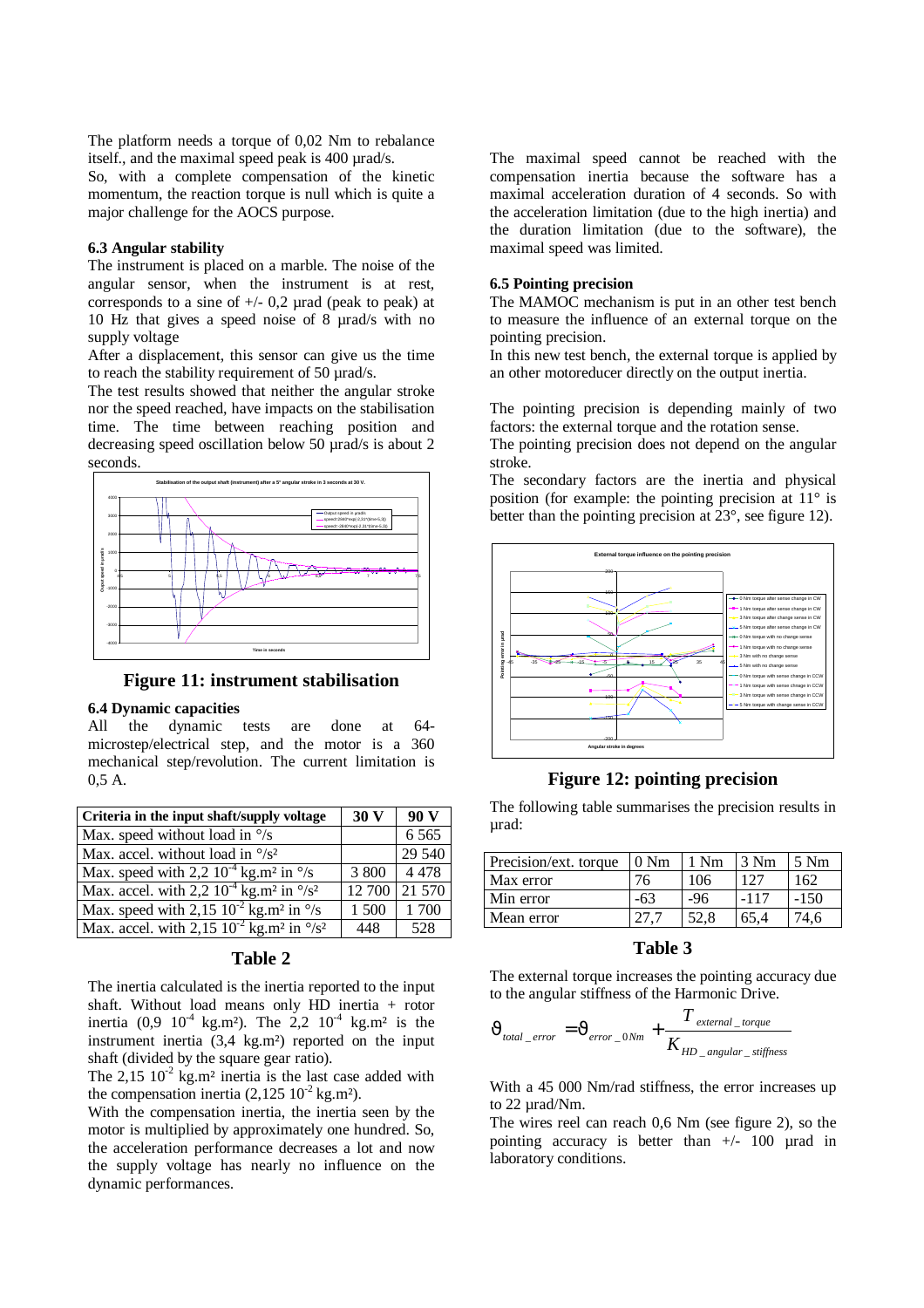The platform needs a torque of 0,02 Nm to rebalance itself., and the maximal speed peak is 400 µrad/s. So, with a complete compensation of the kinetic momentum, the reaction torque is null which is quite a major challenge for the AOCS purpose.

### **6.3 Angular stability**

The instrument is placed on a marble. The noise of the angular sensor, when the instrument is at rest, corresponds to a sine of  $+/- 0.2$  µrad (peak to peak) at 10 Hz that gives a speed noise of 8 µrad/s with no supply voltage

After a displacement, this sensor can give us the time to reach the stability requirement of 50 µrad/s.

The test results showed that neither the angular stroke nor the speed reached, have impacts on the stabilisation time. The time between reaching position and decreasing speed oscillation below 50 µrad/s is about 2 seconds.



**Figure 11: instrument stabilisation**

### **6.4 Dynamic capacities**

All the dynamic tests are done at 64 microstep/electrical step, and the motor is a 360 mechanical step/revolution. The current limitation is 0,5 A.

| Criteria in the input shaft/supply voltage                               | 30 V   | 90V     |
|--------------------------------------------------------------------------|--------|---------|
| Max. speed without load in $\frac{\circ}{s}$                             |        | 6 5 6 5 |
| Max. accel. without load in $\frac{\delta}{s^2}$                         |        | 29 540  |
| Max. speed with 2,2 $10^{-4}$ kg.m <sup>2</sup> in $\degree$ /s          | 3 800  | 4478    |
| Max. accel. with 2,2 $10^{-4}$ kg. $m^2$ in $\frac{\circ}{s^2}$          | 12 700 | 21 570  |
| Max. speed with $2,15 \ 10^{-2}$ kg.m <sup>2</sup> in $\frac{\circ}{s}$  | 1 500  | 1700    |
| Max. accel. with 2,15 $10^{-2}$ kg.m <sup>2</sup> in $\frac{\circ}{s^2}$ | 448    | 528     |

## **Table 2**

The inertia calculated is the inertia reported to the input shaft. Without load means only HD inertia + rotor inertia  $(0.9 \t10^{-4} \text{ kg.m}^2)$ . The 2,2  $10^{-4} \text{ kg.m}^2$  is the instrument inertia (3,4 kg.m²) reported on the input shaft (divided by the square gear ratio).

The  $2,15 \ 10^{-2}$  kg.m<sup>2</sup> inertia is the last case added with the compensation inertia  $(2,125 \ 10^{-2} \text{ kg.m}^2)$ .

With the compensation inertia, the inertia seen by the motor is multiplied by approximately one hundred. So, the acceleration performance decreases a lot and now the supply voltage has nearly no influence on the dynamic performances.

The maximal speed cannot be reached with the compensation inertia because the software has a maximal acceleration duration of 4 seconds. So with the acceleration limitation (due to the high inertia) and the duration limitation (due to the software), the maximal speed was limited.

### **6.5 Pointing precision**

The MAMOC mechanism is put in an other test bench to measure the influence of an external torque on the pointing precision.

In this new test bench, the external torque is applied by an other motoreducer directly on the output inertia.

The pointing precision is depending mainly of two factors: the external torque and the rotation sense.

The pointing precision does not depend on the angular stroke.

The secondary factors are the inertia and physical position (for example: the pointing precision at 11° is better than the pointing precision at 23°, see figure 12).



# **Figure 12: pointing precision**

The following table summarises the precision results in µrad:

| Precision/ext. torque | 0 Nm | $1 \text{ Nm}$ | 3 Nm   | $5 \text{ Nm}$ |
|-----------------------|------|----------------|--------|----------------|
| Max error             |      | 106            |        | 162            |
| Min error             | -63  | -96            | $-117$ | -150           |
| Mean error            |      |                | 65.4   | '46            |

# **Table 3**

The external torque increases the pointing accuracy due to the angular stiffness of the Harmonic Drive.

$$
J_{total\_error} = J_{error\_0Nm} + \frac{T_{external\_torque}}{K_{HD\_angular\_stiffness}}
$$

With a 45 000 Nm/rad stiffness, the error increases up to 22 urad/Nm.

The wires reel can reach 0,6 Nm (see figure 2), so the pointing accuracy is better than  $+/-$  100 µrad in laboratory conditions.